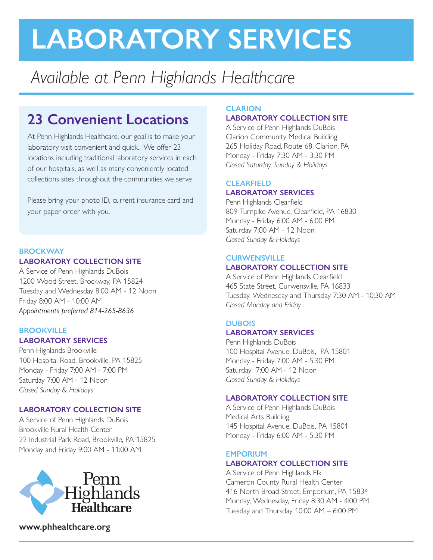# **LABORATORY SERVICES**

## *Available at Penn Highlands Healthcare*

### **23 Convenient Locations**

At Penn Highlands Healthcare, our goal is to make your laboratory visit convenient and quick. We offer 23 locations including traditional laboratory services in each of our hospitals, as well as many conveniently located collections sites throughout the communities we serve

Please bring your photo ID, current insurance card and your paper order with you.

#### **BROCKWAY LABORATORY COLLECTION SITE**

A Service of Penn Highlands DuBois 1200 Wood Street, Brockway, PA 15824 Tuesday and Wednesday 8:00 AM - 12 Noon Friday 8:00 AM - 10:00 AM *Appointments preferred 814-265-8636* 

#### **BROOKVILLE LABORATORY SERVICES**

Penn Highlands Brookville 100 Hospital Road, Brookville, PA 15825 Monday - Friday 7:00 AM - 7:00 PM Saturday 7:00 AM - 12 Noon *Closed Sunday & Holidays*

#### **LABORATORY COLLECTION SITE**

A Service of Penn Highlands DuBois Brookville Rural Health Center 22 Industrial Park Road, Brookville, PA 15825 Monday and Friday 9:00 AM - 11:00 AM



**www.phhealthcare.org**

#### **CLARION LABORATORY COLLECTION SITE**

A Service of Penn Highlands DuBois Clarion Community Medical Building 265 Holiday Road, Route 68, Clarion, PA Monday - Friday 7:30 AM - 3:30 PM *Closed Saturday, Sunday & Holidays*

#### **CLEARFIELD LABORATORY SERVICES**

Penn Highlands Clearfield 809 Turnpike Avenue, Clearfield, PA 16830 Monday - Friday 6:00 AM - 6:00 PM Saturday 7:00 AM - 12 Noon *Closed Sunday & Holidays*

#### **CURWENSVILLE LABORATORY COLLECTION SITE**

A Service of Penn Highlands Clearfield 465 State Street, Curwensville, PA 16833 Tuesday, Wednesday and Thursday 7:30 AM - 10:30 AM *Closed Monday and Friday*

#### **DUBOIS**

#### **LABORATORY SERVICES**

Penn Highlands DuBois 100 Hospital Avenue, DuBois, PA 15801 Monday - Friday 7:00 AM - 5:30 PM Saturday 7:00 AM - 12 Noon *Closed Sunday & Holidays* 

#### **LABORATORY COLLECTION SITE**

A Service of Penn Highlands DuBois Medical Arts Building 145 Hospital Avenue, DuBois, PA 15801 Monday - Friday 6:00 AM - 5:30 PM

#### **EMPORIUM LABORATORY COLLECTION SITE**

A Service of Penn Highlands Elk Cameron County Rural Health Center 416 North Broad Street, Emporium, PA 15834 Monday, Wednesday, Friday 8:30 AM - 4:00 PM Tuesday and Thursday 10:00 AM – 6:00 PM